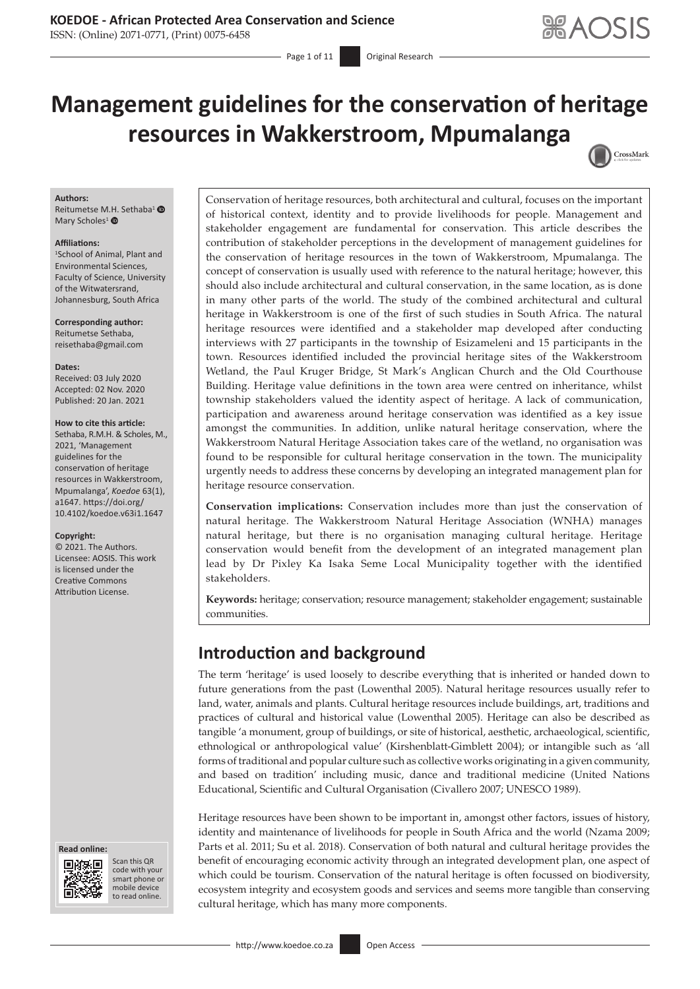## **KOEDOE - African Protected Area Conservation and Science**

ISSN: (Online) 2071-0771, (Print) 0075-6458

Page 1 of 11 **Original Research** 

# **Management guidelines for the conservation of heritage resources in Wakkerstroom, Mpumalanga** CrossMark

#### **Authors:**

Reitumetse M.H. Sethaba<sup>1</sup> Mary Scholes<sup>[1](https://orcid.org/0000-0001-5762-9537)</sup> <sup>®</sup>

#### **Affiliations:**

1 School of Animal, Plant and Environmental Sciences, Faculty of Science, University of the Witwatersrand, Johannesburg, South Africa

**Corresponding author:** Reitumetse Sethaba, [reisethaba@gmail.com](mailto:reisethaba@gmail.com)

**Dates:** Received: 03 July 2020 Accepted: 02 Nov. 2020 Published: 20 Jan. 2021

#### **How to cite this article:**

Sethaba, R.M.H. & Scholes, M., 2021, 'Management guidelines for the conservation of heritage resources in Wakkerstroom, Mpumalanga', *Koedoe* 63(1), a1647. [https://doi.org/](https://doi.org/10.4102/koedoe.v63i1.1647) [10.4102/koedoe.v63i1.1647](https://doi.org/10.4102/koedoe.v63i1.1647)

#### **Copyright:**

© 2021. The Authors. Licensee: AOSIS. This work is licensed under the Creative Commons Attribution License.





Scan this QR code with your Scan this QR<br>code with your<br>smart phone or<br>mobile device mobile device to read online. to read online.

Conservation of heritage resources, both architectural and cultural, focuses on the important of historical context, identity and to provide livelihoods for people. Management and stakeholder engagement are fundamental for conservation. This article describes the contribution of stakeholder perceptions in the development of management guidelines for the conservation of heritage resources in the town of Wakkerstroom, Mpumalanga. The concept of conservation is usually used with reference to the natural heritage; however, this should also include architectural and cultural conservation, in the same location, as is done in many other parts of the world. The study of the combined architectural and cultural heritage in Wakkerstroom is one of the first of such studies in South Africa. The natural heritage resources were identified and a stakeholder map developed after conducting interviews with 27 participants in the township of Esizameleni and 15 participants in the town. Resources identified included the provincial heritage sites of the Wakkerstroom Wetland, the Paul Kruger Bridge, St Mark's Anglican Church and the Old Courthouse Building. Heritage value definitions in the town area were centred on inheritance, whilst township stakeholders valued the identity aspect of heritage. A lack of communication, participation and awareness around heritage conservation was identified as a key issue amongst the communities. In addition, unlike natural heritage conservation, where the Wakkerstroom Natural Heritage Association takes care of the wetland, no organisation was found to be responsible for cultural heritage conservation in the town. The municipality urgently needs to address these concerns by developing an integrated management plan for heritage resource conservation.

**Conservation implications:** Conservation includes more than just the conservation of natural heritage. The Wakkerstroom Natural Heritage Association (WNHA) manages natural heritage, but there is no organisation managing cultural heritage. Heritage conservation would benefit from the development of an integrated management plan lead by Dr Pixley Ka Isaka Seme Local Municipality together with the identified stakeholders.

**Keywords:** heritage; conservation; resource management; stakeholder engagement; sustainable communities.

# **Introduction and background**

The term 'heritage' is used loosely to describe everything that is inherited or handed down to future generations from the past (Lowenthal 2005). Natural heritage resources usually refer to land, water, animals and plants. Cultural heritage resources include buildings, art, traditions and practices of cultural and historical value (Lowenthal 2005). Heritage can also be described as tangible 'a monument, group of buildings, or site of historical, aesthetic, archaeological, scientific, ethnological or anthropological value' (Kirshenblatt-Gimblett 2004); or intangible such as 'all forms of traditional and popular culture such as collective works originating in a given community, and based on tradition' including music, dance and traditional medicine (United Nations Educational, Scientific and Cultural Organisation (Civallero 2007; UNESCO 1989).

Heritage resources have been shown to be important in, amongst other factors, issues of history, identity and maintenance of livelihoods for people in South Africa and the world (Nzama 2009; Parts et al. 2011; Su et al. 2018). Conservation of both natural and cultural heritage provides the benefit of encouraging economic activity through an integrated development plan, one aspect of which could be tourism. Conservation of the natural heritage is often focussed on biodiversity, ecosystem integrity and ecosystem goods and services and seems more tangible than conserving cultural heritage, which has many more components.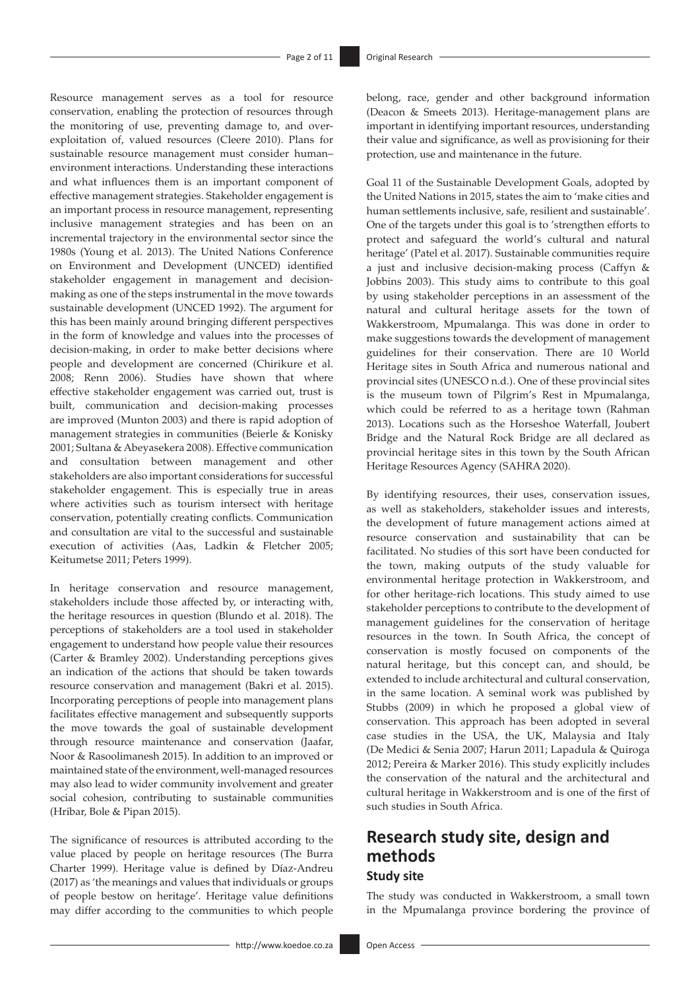Resource management serves as a tool for resource conservation, enabling the protection of resources through the monitoring of use, preventing damage to, and overexploitation of, valued resources (Cleere 2010). Plans for sustainable resource management must consider human– environment interactions. Understanding these interactions and what influences them is an important component of effective management strategies. Stakeholder engagement is an important process in resource management, representing inclusive management strategies and has been on an incremental trajectory in the environmental sector since the 1980s (Young et al. 2013). The United Nations Conference on Environment and Development (UNCED) identified stakeholder engagement in management and decisionmaking as one of the steps instrumental in the move towards sustainable development (UNCED 1992). The argument for this has been mainly around bringing different perspectives in the form of knowledge and values into the processes of decision-making, in order to make better decisions where people and development are concerned (Chirikure et al. 2008; Renn 2006). Studies have shown that where effective stakeholder engagement was carried out, trust is built, communication and decision-making processes are improved (Munton 2003) and there is rapid adoption of management strategies in communities (Beierle & Konisky 2001; Sultana & Abeyasekera 2008). Effective communication and consultation between management and other stakeholders are also important considerations for successful stakeholder engagement. This is especially true in areas where activities such as tourism intersect with heritage conservation, potentially creating conflicts. Communication and consultation are vital to the successful and sustainable execution of activities (Aas, Ladkin & Fletcher 2005; Keitumetse 2011; Peters 1999).

In heritage conservation and resource management, stakeholders include those affected by, or interacting with, the heritage resources in question (Blundo et al. 2018). The perceptions of stakeholders are a tool used in stakeholder engagement to understand how people value their resources (Carter & Bramley 2002). Understanding perceptions gives an indication of the actions that should be taken towards resource conservation and management (Bakri et al. 2015). Incorporating perceptions of people into management plans facilitates effective management and subsequently supports the move towards the goal of sustainable development through resource maintenance and conservation (Jaafar, Noor & Rasoolimanesh 2015). In addition to an improved or maintained state of the environment, well-managed resources may also lead to wider community involvement and greater social cohesion, contributing to sustainable communities (Hribar, Bole & Pipan 2015).

The significance of resources is attributed according to the value placed by people on heritage resources (The Burra Charter 1999). Heritage value is defined by Díaz-Andreu (2017) as 'the meanings and values that individuals or groups of people bestow on heritage'. Heritage value definitions may differ according to the communities to which people belong, race, gender and other background information (Deacon & Smeets 2013). Heritage-management plans are important in identifying important resources, understanding their value and significance, as well as provisioning for their protection, use and maintenance in the future.

Goal 11 of the Sustainable Development Goals, adopted by the United Nations in 2015, states the aim to 'make cities and human settlements inclusive, safe, resilient and sustainable'. One of the targets under this goal is to 'strengthen efforts to protect and safeguard the world's cultural and natural heritage' (Patel et al. 2017). Sustainable communities require a just and inclusive decision-making process (Caffyn & Jobbins 2003). This study aims to contribute to this goal by using stakeholder perceptions in an assessment of the natural and cultural heritage assets for the town of Wakkerstroom, Mpumalanga. This was done in order to make suggestions towards the development of management guidelines for their conservation. There are 10 World Heritage sites in South Africa and numerous national and provincial sites (UNESCO n.d.). One of these provincial sites is the museum town of Pilgrim's Rest in Mpumalanga, which could be referred to as a heritage town (Rahman 2013). Locations such as the Horseshoe Waterfall, Joubert Bridge and the Natural Rock Bridge are all declared as provincial heritage sites in this town by the South African Heritage Resources Agency (SAHRA 2020).

By identifying resources, their uses, conservation issues, as well as stakeholders, stakeholder issues and interests, the development of future management actions aimed at resource conservation and sustainability that can be facilitated. No studies of this sort have been conducted for the town, making outputs of the study valuable for environmental heritage protection in Wakkerstroom, and for other heritage-rich locations. This study aimed to use stakeholder perceptions to contribute to the development of management guidelines for the conservation of heritage resources in the town. In South Africa, the concept of conservation is mostly focused on components of the natural heritage, but this concept can, and should, be extended to include architectural and cultural conservation, in the same location. A seminal work was published by Stubbs (2009) in which he proposed a global view of conservation. This approach has been adopted in several case studies in the USA, the UK, Malaysia and Italy (De Medici & Senia 2007; Harun 2011; Lapadula & Quiroga 2012; Pereira & Marker 2016). This study explicitly includes the conservation of the natural and the architectural and cultural heritage in Wakkerstroom and is one of the first of such studies in South Africa.

# **Research study site, design and methods**

### **Study site**

The study was conducted in Wakkerstroom, a small town in the Mpumalanga province bordering the province of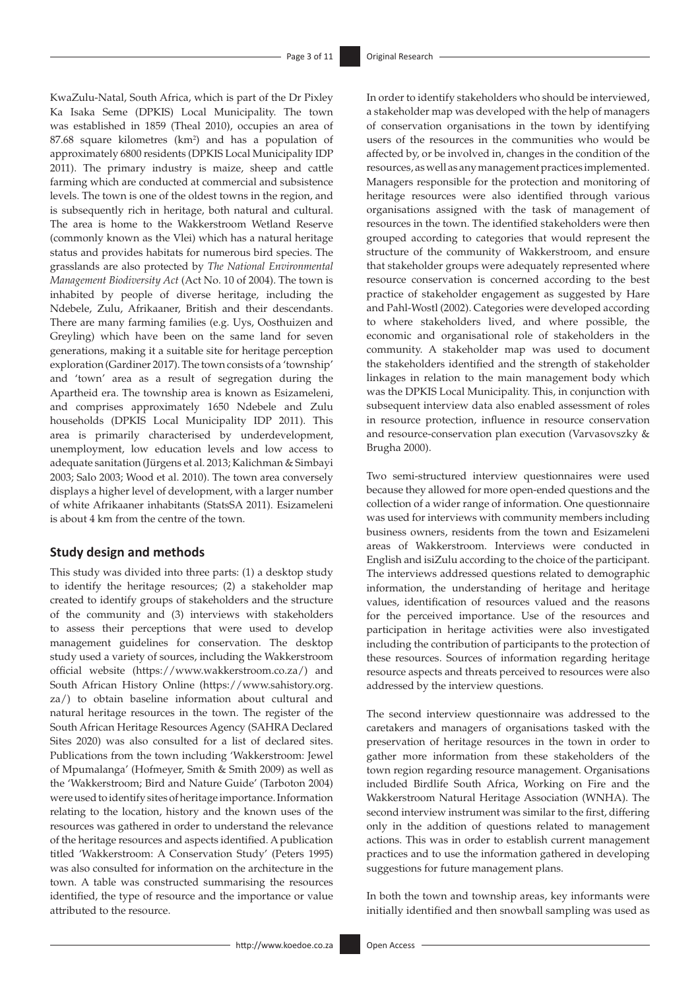KwaZulu-Natal, South Africa, which is part of the Dr Pixley Ka Isaka Seme (DPKIS) Local Municipality. The town was established in 1859 (Theal 2010), occupies an area of 87.68 square kilometres (km<sup>2</sup>) and has a population of approximately 6800 residents (DPKIS Local Municipality IDP 2011). The primary industry is maize, sheep and cattle farming which are conducted at commercial and subsistence levels. The town is one of the oldest towns in the region, and is subsequently rich in heritage, both natural and cultural. The area is home to the Wakkerstroom Wetland Reserve (commonly known as the Vlei) which has a natural heritage status and provides habitats for numerous bird species. The grasslands are also protected by *The National Environmental Management Biodiversity Act* (Act No. 10 of 2004). The town is inhabited by people of diverse heritage, including the Ndebele, Zulu, Afrikaaner, British and their descendants. There are many farming families (e.g. Uys, Oosthuizen and Greyling) which have been on the same land for seven generations, making it a suitable site for heritage perception exploration (Gardiner 2017). The town consists of a 'township' and 'town' area as a result of segregation during the Apartheid era. The township area is known as Esizameleni, and comprises approximately 1650 Ndebele and Zulu households (DPKIS Local Municipality IDP 2011). This area is primarily characterised by underdevelopment, unemployment, low education levels and low access to adequate sanitation (Jürgens et al. 2013; Kalichman & Simbayi 2003; Salo 2003; Wood et al. 2010). The town area conversely displays a higher level of development, with a larger number of white Afrikaaner inhabitants (StatsSA 2011). Esizameleni is about 4 km from the centre of the town.

#### **Study design and methods**

This study was divided into three parts: (1) a desktop study to identify the heritage resources; (2) a stakeholder map created to identify groups of stakeholders and the structure of the community and (3) interviews with stakeholders to assess their perceptions that were used to develop management guidelines for conservation. The desktop study used a variety of sources, including the Wakkerstroom official website ([https://www.wakkerstroom.co.za/\)](https://www.wakkerstroom.co.za/) and South African History Online ([https://www.sahistory.org.](https://www.sahistory.org.za/) [za/\)](https://www.sahistory.org.za/) to obtain baseline information about cultural and natural heritage resources in the town. The register of the South African Heritage Resources Agency (SAHRA Declared Sites 2020) was also consulted for a list of declared sites. Publications from the town including 'Wakkerstroom: Jewel of Mpumalanga' (Hofmeyer, Smith & Smith 2009) as well as the 'Wakkerstroom; Bird and Nature Guide' (Tarboton 2004) were used to identify sites of heritage importance. Information relating to the location, history and the known uses of the resources was gathered in order to understand the relevance of the heritage resources and aspects identified. A publication titled 'Wakkerstroom: A Conservation Study' (Peters 1995) was also consulted for information on the architecture in the town. A table was constructed summarising the resources identified, the type of resource and the importance or value attributed to the resource.

In order to identify stakeholders who should be interviewed, a stakeholder map was developed with the help of managers of conservation organisations in the town by identifying users of the resources in the communities who would be affected by, or be involved in, changes in the condition of the resources, as well as any management practices implemented. Managers responsible for the protection and monitoring of heritage resources were also identified through various organisations assigned with the task of management of resources in the town. The identified stakeholders were then grouped according to categories that would represent the structure of the community of Wakkerstroom, and ensure that stakeholder groups were adequately represented where resource conservation is concerned according to the best practice of stakeholder engagement as suggested by Hare and Pahl-Wostl (2002). Categories were developed according to where stakeholders lived, and where possible, the economic and organisational role of stakeholders in the community. A stakeholder map was used to document the stakeholders identified and the strength of stakeholder linkages in relation to the main management body which was the DPKIS Local Municipality. This, in conjunction with subsequent interview data also enabled assessment of roles in resource protection, influence in resource conservation and resource-conservation plan execution (Varvasovszky & Brugha 2000).

Two semi-structured interview questionnaires were used because they allowed for more open-ended questions and the collection of a wider range of information. One questionnaire was used for interviews with community members including business owners, residents from the town and Esizameleni areas of Wakkerstroom. Interviews were conducted in English and isiZulu according to the choice of the participant. The interviews addressed questions related to demographic information, the understanding of heritage and heritage values, identification of resources valued and the reasons for the perceived importance. Use of the resources and participation in heritage activities were also investigated including the contribution of participants to the protection of these resources. Sources of information regarding heritage resource aspects and threats perceived to resources were also addressed by the interview questions.

The second interview questionnaire was addressed to the caretakers and managers of organisations tasked with the preservation of heritage resources in the town in order to gather more information from these stakeholders of the town region regarding resource management. Organisations included Birdlife South Africa, Working on Fire and the Wakkerstroom Natural Heritage Association (WNHA). The second interview instrument was similar to the first, differing only in the addition of questions related to management actions. This was in order to establish current management practices and to use the information gathered in developing suggestions for future management plans.

In both the town and township areas, key informants were initially identified and then snowball sampling was used as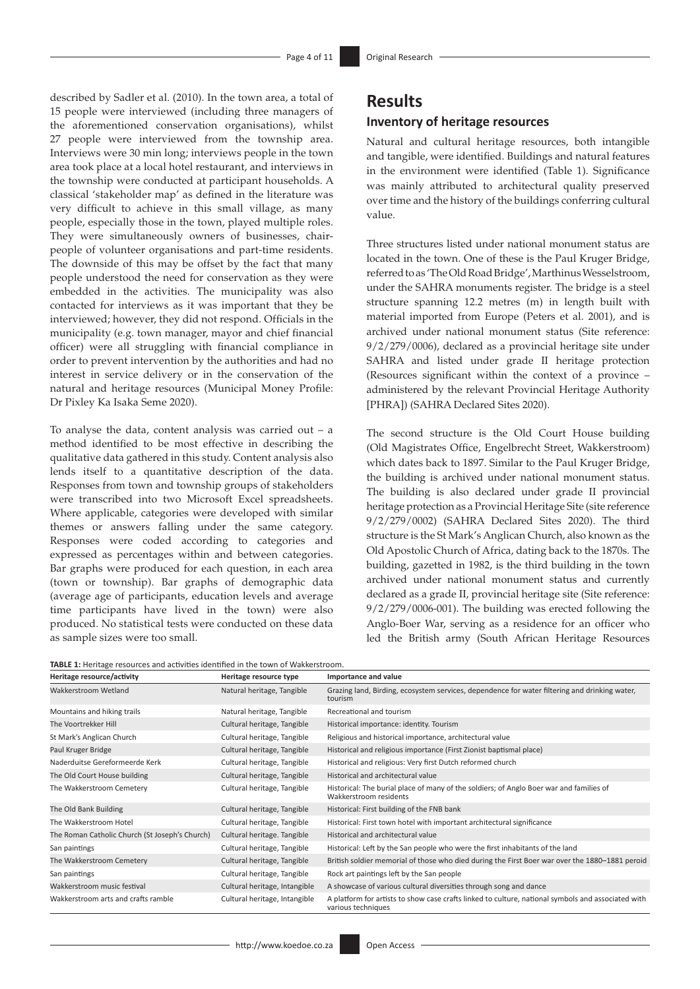described by Sadler et al. (2010). In the town area, a total of 15 people were interviewed (including three managers of the aforementioned conservation organisations), whilst 27 people were interviewed from the township area. Interviews were 30 min long; interviews people in the town area took place at a local hotel restaurant, and interviews in the township were conducted at participant households. A classical 'stakeholder map' as defined in the literature was very difficult to achieve in this small village, as many people, especially those in the town, played multiple roles. They were simultaneously owners of businesses, chairpeople of volunteer organisations and part-time residents. The downside of this may be offset by the fact that many people understood the need for conservation as they were embedded in the activities. The municipality was also contacted for interviews as it was important that they be interviewed; however, they did not respond. Officials in the municipality (e.g. town manager, mayor and chief financial officer) were all struggling with financial compliance in order to prevent intervention by the authorities and had no interest in service delivery or in the conservation of the natural and heritage resources (Municipal Money Profile: Dr Pixley Ka Isaka Seme 2020).

To analyse the data, content analysis was carried out  $-$  a method identified to be most effective in describing the qualitative data gathered in this study. Content analysis also lends itself to a quantitative description of the data. Responses from town and township groups of stakeholders were transcribed into two Microsoft Excel spreadsheets. Where applicable, categories were developed with similar themes or answers falling under the same category. Responses were coded according to categories and expressed as percentages within and between categories. Bar graphs were produced for each question, in each area (town or township). Bar graphs of demographic data (average age of participants, education levels and average time participants have lived in the town) were also produced. No statistical tests were conducted on these data as sample sizes were too small.

|--|

#### **Heritage resource/activity Heritage resource type Importance and value** Wakkerstroom Wetland **Natural heritage, Tangible** Grazing land, Birding, ecosystem services, dependence for water filtering and drinking water, tourism Mountains and hiking trails **Natural heritage, Tangible** Recreational and tourism The Voortrekker Hill Cultural heritage, Tangible Historical importance: identity. Tourism St Mark's Anglican Church Cultural heritage, Tangible Religious and historical importance, architectural value Paul Kruger Bridge Cultural heritage, Tangible Historical and religious importance (First Zionist baptismal place) Naderduitse Gereformeerde Kerk Cultural heritage, Tangible Historical and religious: Very first Dutch reformed church The Old Court House building Cultural heritage, Tangible Historical and architectural value The Wakkerstroom Cemetery Cultural heritage, Tangible Historical: The burial place of many of the soldiers; of Anglo Boer war and families of Wakkerstroom residents The Old Bank Building Cultural heritage, Tangible Historical: First building of the FNB bank The Wakkerstroom Hotel Cultural heritage, Tangible Historical: First town hotel with important architectural significance The Roman Catholic Church (St Joseph's Church) Cultural heritage. Tangible Historical and architectural value San paintings Cultural heritage, Tangible Historical: Left by the San people who were the first inhabitants of the land The Wakkerstroom Cemetery Cultural heritage, Tangible British soldier memorial of those who died during the First Boer war over the 1880–1881 peroid San paintings Cultural heritage, Tangible Rock art paintings left by the San people Wakkerstroom music festival **Cultural heritage, Intangible** A showcase of various cultural diversities through song and dance Wakkerstroom arts and crafts ramble Cultural heritage, Intangible A platform for artists to show case crafts linked to culture, national symbols and associated with various techniques

## **Results**

### **Inventory of heritage resources**

Natural and cultural heritage resources, both intangible and tangible, were identified. Buildings and natural features in the environment were identified (Table 1). Significance was mainly attributed to architectural quality preserved over time and the history of the buildings conferring cultural value.

Three structures listed under national monument status are located in the town. One of these is the Paul Kruger Bridge, referred to as 'The Old Road Bridge', Marthinus Wesselstroom, under the SAHRA monuments register. The bridge is a steel structure spanning 12.2 metres (m) in length built with material imported from Europe (Peters et al. 2001), and is archived under national monument status (Site reference: 9/2/279/0006), declared as a provincial heritage site under SAHRA and listed under grade II heritage protection (Resources significant within the context of a province – administered by the relevant Provincial Heritage Authority [PHRA]) (SAHRA Declared Sites 2020).

The second structure is the Old Court House building (Old Magistrates Office, Engelbrecht Street, Wakkerstroom) which dates back to 1897. Similar to the Paul Kruger Bridge, the building is archived under national monument status. The building is also declared under grade II provincial heritage protection as a Provincial Heritage Site (site reference 9/2/279/0002) (SAHRA Declared Sites 2020). The third structure is the St Mark's Anglican Church, also known as the Old Apostolic Church of Africa, dating back to the 1870s. The building, gazetted in 1982, is the third building in the town archived under national monument status and currently declared as a grade II, provincial heritage site (Site reference: 9/2/279/0006-001). The building was erected following the Anglo-Boer War, serving as a residence for an officer who led the British army (South African Heritage Resources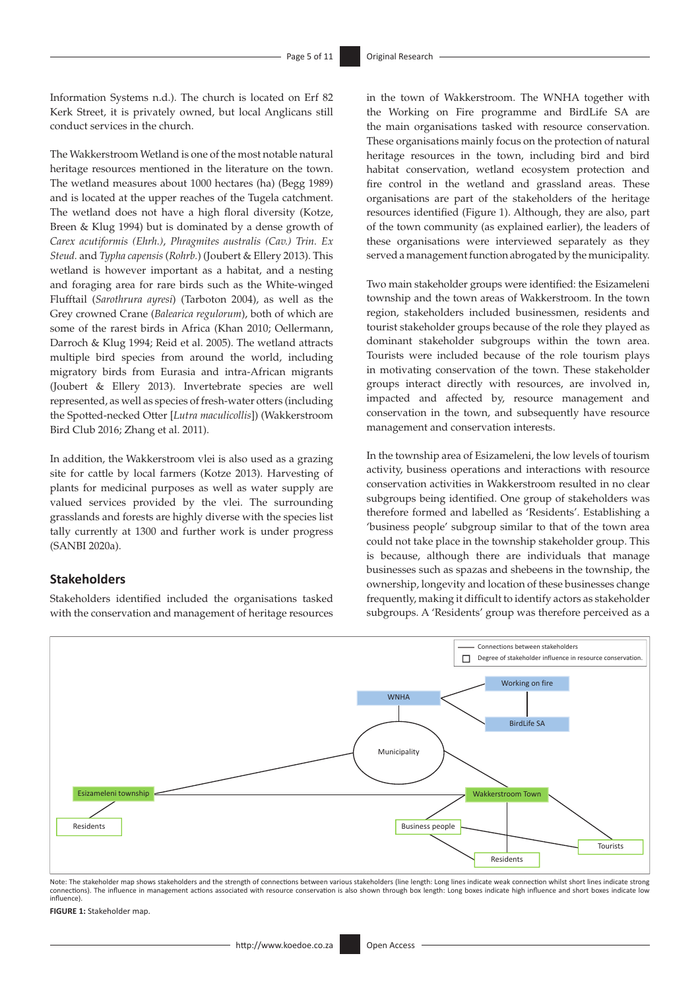Information Systems n.d.). The church is located on Erf 82 Kerk Street, it is privately owned, but local Anglicans still conduct services in the church.

The Wakkerstroom Wetland is one of the most notable natural heritage resources mentioned in the literature on the town. The wetland measures about 1000 hectares (ha) (Begg 1989) and is located at the upper reaches of the Tugela catchment. The wetland does not have a high floral diversity (Kotze, Breen & Klug 1994) but is dominated by a dense growth of *Carex acutiformis (Ehrh.)*, *Phragmites australis (Cav.) Trin. Ex Steud.* and *Typha capensis* (*Rohrb.*) (Joubert & Ellery 2013). This wetland is however important as a habitat, and a nesting and foraging area for rare birds such as the White-winged Flufftail (*Sarothrura ayresi*) (Tarboton 2004), as well as the Grey crowned Crane (*Balearica regulorum*), both of which are some of the rarest birds in Africa (Khan 2010; Oellermann, Darroch & Klug 1994; Reid et al. 2005). The wetland attracts multiple bird species from around the world, including migratory birds from Eurasia and intra-African migrants (Joubert & Ellery 2013). Invertebrate species are well represented, as well as species of fresh-water otters (including the Spotted-necked Otter [*Lutra maculicollis*]) (Wakkerstroom Bird Club 2016; Zhang et al. 2011).

In addition, the Wakkerstroom vlei is also used as a grazing site for cattle by local farmers (Kotze 2013). Harvesting of plants for medicinal purposes as well as water supply are valued services provided by the vlei. The surrounding grasslands and forests are highly diverse with the species list tally currently at 1300 and further work is under progress (SANBI 2020a).

#### **Stakeholders**

Stakeholders identified included the organisations tasked with the conservation and management of heritage resources in the town of Wakkerstroom. The WNHA together with the Working on Fire programme and BirdLife SA are the main organisations tasked with resource conservation. These organisations mainly focus on the protection of natural heritage resources in the town, including bird and bird habitat conservation, wetland ecosystem protection and fire control in the wetland and grassland areas. These organisations are part of the stakeholders of the heritage resources identified (Figure 1). Although, they are also, part of the town community (as explained earlier), the leaders of these organisations were interviewed separately as they served a management function abrogated by the municipality.

Two main stakeholder groups were identified: the Esizameleni township and the town areas of Wakkerstroom. In the town region, stakeholders included businessmen, residents and tourist stakeholder groups because of the role they played as dominant stakeholder subgroups within the town area. Tourists were included because of the role tourism plays in motivating conservation of the town. These stakeholder groups interact directly with resources, are involved in, impacted and affected by, resource management and conservation in the town, and subsequently have resource management and conservation interests.

In the township area of Esizameleni, the low levels of tourism activity, business operations and interactions with resource conservation activities in Wakkerstroom resulted in no clear subgroups being identified. One group of stakeholders was therefore formed and labelled as 'Residents'. Establishing a 'business people' subgroup similar to that of the town area could not take place in the township stakeholder group. This is because, although there are individuals that manage businesses such as spazas and shebeens in the township, the ownership, longevity and location of these businesses change frequently, making it difficult to identify actors as stakeholder subgroups. A 'Residents' group was therefore perceived as a



Note: The stakeholder map shows stakeholders and the strength of connections between various stakeholders (line length: Long lines indicate weak connection whilst short lines indicate strong connections). The influence in management actions associated with resource conservation is also shown through box length: Long boxes indicate high influence and short boxes indicate low influence).

**FIGURE 1:** Stakeholder map.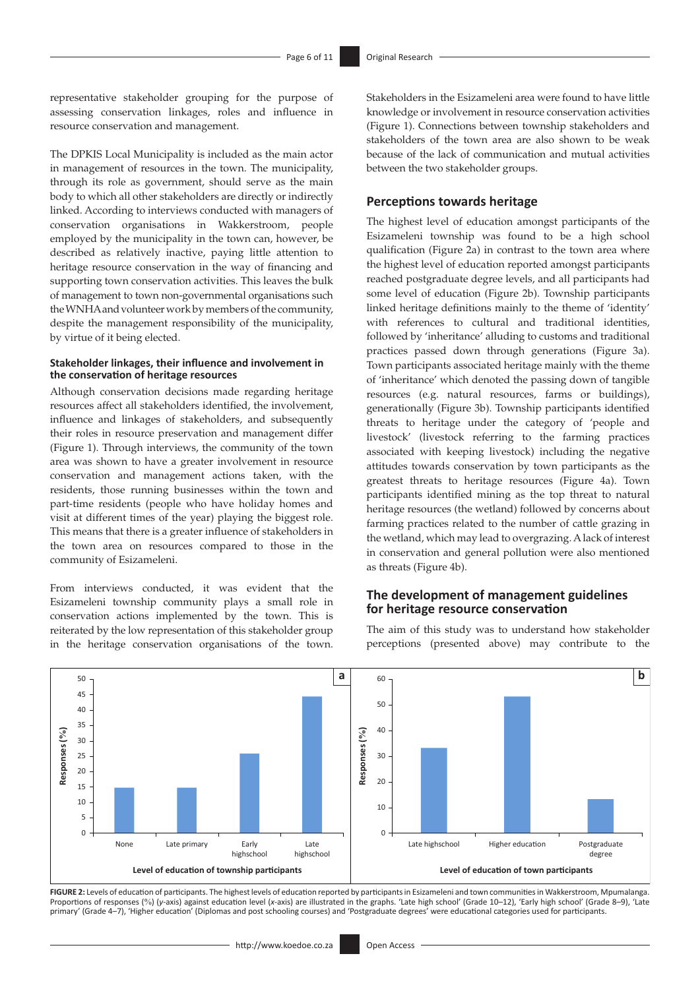representative stakeholder grouping for the purpose of assessing conservation linkages, roles and influence in resource conservation and management.

The DPKIS Local Municipality is included as the main actor in management of resources in the town. The municipality, through its role as government, should serve as the main body to which all other stakeholders are directly or indirectly linked. According to interviews conducted with managers of conservation organisations in Wakkerstroom, people employed by the municipality in the town can, however, be described as relatively inactive, paying little attention to heritage resource conservation in the way of financing and supporting town conservation activities. This leaves the bulk of management to town non-governmental organisations such the WNHA and volunteer work by members of the community, despite the management responsibility of the municipality, by virtue of it being elected.

#### **Stakeholder linkages, their influence and involvement in the conservation of heritage resources**

Although conservation decisions made regarding heritage resources affect all stakeholders identified, the involvement, influence and linkages of stakeholders, and subsequently their roles in resource preservation and management differ (Figure 1). Through interviews, the community of the town area was shown to have a greater involvement in resource conservation and management actions taken, with the residents, those running businesses within the town and part-time residents (people who have holiday homes and visit at different times of the year) playing the biggest role. This means that there is a greater influence of stakeholders in the town area on resources compared to those in the community of Esizameleni.

From interviews conducted, it was evident that the Esizameleni township community plays a small role in conservation actions implemented by the town. This is reiterated by the low representation of this stakeholder group in the heritage conservation organisations of the town. Stakeholders in the Esizameleni area were found to have little knowledge or involvement in resource conservation activities (Figure 1). Connections between township stakeholders and stakeholders of the town area are also shown to be weak because of the lack of communication and mutual activities between the two stakeholder groups.

#### **Perceptions towards heritage**

The highest level of education amongst participants of the Esizameleni township was found to be a high school qualification (Figure 2a) in contrast to the town area where the highest level of education reported amongst participants reached postgraduate degree levels, and all participants had some level of education (Figure 2b). Township participants linked heritage definitions mainly to the theme of 'identity' with references to cultural and traditional identities, followed by 'inheritance' alluding to customs and traditional practices passed down through generations (Figure 3a). Town participants associated heritage mainly with the theme of 'inheritance' which denoted the passing down of tangible resources (e.g. natural resources, farms or buildings), generationally (Figure 3b). Township participants identified threats to heritage under the category of 'people and livestock' (livestock referring to the farming practices associated with keeping livestock) including the negative attitudes towards conservation by town participants as the greatest threats to heritage resources (Figure 4a). Town participants identified mining as the top threat to natural heritage resources (the wetland) followed by concerns about farming practices related to the number of cattle grazing in the wetland, which may lead to overgrazing. A lack of interest in conservation and general pollution were also mentioned as threats (Figure 4b).

#### **The development of management guidelines for heritage resource conservation**

The aim of this study was to understand how stakeholder perceptions (presented above) may contribute to the



**FIGURE 2:** Levels of education of participants. The highest levels of education reported by participants in Esizameleni and town communities in Wakkerstroom, Mpumalanga. Proportions of responses (%) (*y*-axis) against education level (*x*-axis) are illustrated in the graphs. 'Late high school' (Grade 10–12), 'Early high school' (Grade 8–9), 'Late primary' (Grade 4–7), 'Higher education' (Diplomas and post schooling courses) and 'Postgraduate degrees' were educational categories used for participants.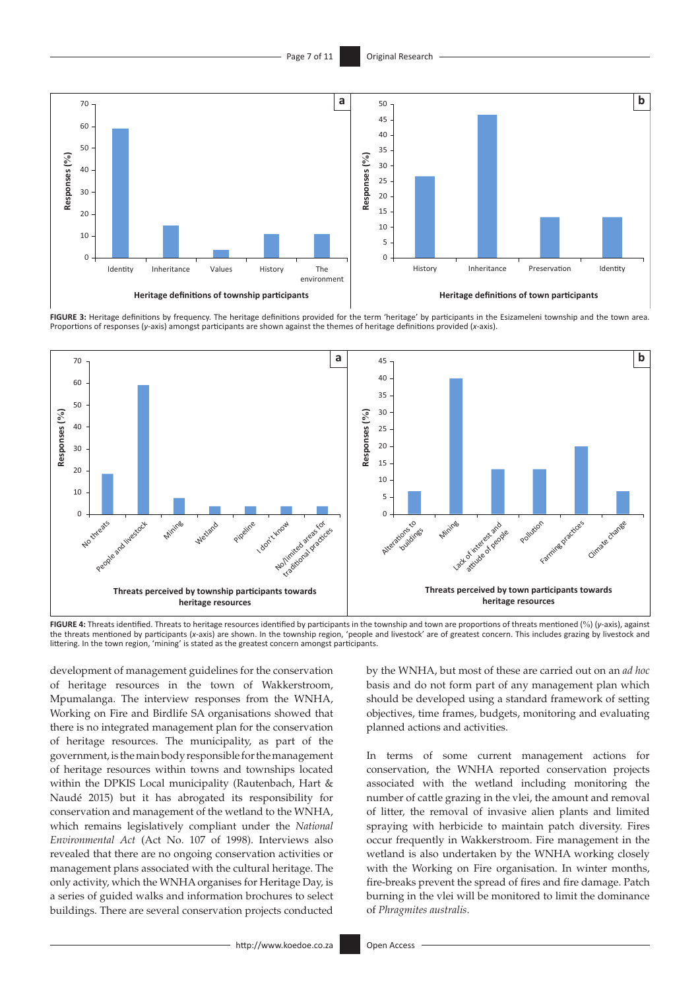

**FIGURE 3:** Heritage definitions by frequency. The heritage definitions provided for the term 'heritage' by participants in the Esizameleni township and the town area. Proportions of responses (*y*-axis) amongst participants are shown against the themes of heritage definitions provided (*x*-axis).



**FIGURE 4:** Threats identified. Threats to heritage resources identified by participants in the township and town are proportions of threats mentioned (%) (*y*-axis), against the threats mentioned by participants (*x*-axis) are shown. In the township region, 'people and livestock' are of greatest concern. This includes grazing by livestock and littering. In the town region, 'mining' is stated as the greatest concern amongst participants.

development of management guidelines for the conservation of heritage resources in the town of Wakkerstroom, Mpumalanga. The interview responses from the WNHA, Working on Fire and Birdlife SA organisations showed that there is no integrated management plan for the conservation of heritage resources. The municipality, as part of the government, is the main body responsible for the management of heritage resources within towns and townships located within the DPKIS Local municipality (Rautenbach, Hart & Naudé 2015) but it has abrogated its responsibility for conservation and management of the wetland to the WNHA, which remains legislatively compliant under the *National Environmental Act* (Act No. 107 of 1998). Interviews also revealed that there are no ongoing conservation activities or management plans associated with the cultural heritage. The only activity, which the WNHA organises for Heritage Day, is a series of guided walks and information brochures to select buildings. There are several conservation projects conducted

by the WNHA, but most of these are carried out on an *ad hoc* basis and do not form part of any management plan which should be developed using a standard framework of setting objectives, time frames, budgets, monitoring and evaluating planned actions and activities.

In terms of some current management actions for conservation, the WNHA reported conservation projects associated with the wetland including monitoring the number of cattle grazing in the vlei, the amount and removal of litter, the removal of invasive alien plants and limited spraying with herbicide to maintain patch diversity. Fires occur frequently in Wakkerstroom. Fire management in the wetland is also undertaken by the WNHA working closely with the Working on Fire organisation. In winter months, fire-breaks prevent the spread of fires and fire damage. Patch burning in the vlei will be monitored to limit the dominance of *Phragmites australis*.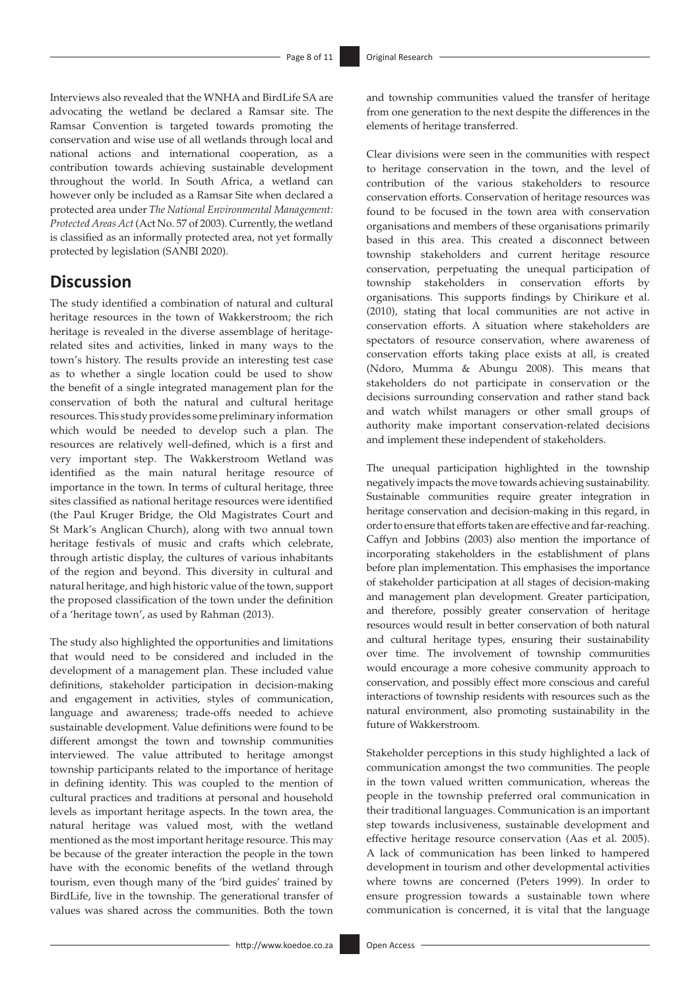Interviews also revealed that the WNHA and BirdLife SA are advocating the wetland be declared a Ramsar site. The Ramsar Convention is targeted towards promoting the conservation and wise use of all wetlands through local and national actions and international cooperation, as a contribution towards achieving sustainable development throughout the world. In South Africa, a wetland can however only be included as a Ramsar Site when declared a protected area under *The National Environmental Management: Protected Areas Act* (Act No. 57 of 2003). Currently, the wetland is classified as an informally protected area, not yet formally protected by legislation (SANBI 2020).

# **Discussion**

The study identified a combination of natural and cultural heritage resources in the town of Wakkerstroom; the rich heritage is revealed in the diverse assemblage of heritagerelated sites and activities, linked in many ways to the town's history. The results provide an interesting test case as to whether a single location could be used to show the benefit of a single integrated management plan for the conservation of both the natural and cultural heritage resources. This study provides some preliminary information which would be needed to develop such a plan. The resources are relatively well-defined, which is a first and very important step. The Wakkerstroom Wetland was identified as the main natural heritage resource of importance in the town. In terms of cultural heritage, three sites classified as national heritage resources were identified (the Paul Kruger Bridge, the Old Magistrates Court and St Mark's Anglican Church), along with two annual town heritage festivals of music and crafts which celebrate, through artistic display, the cultures of various inhabitants of the region and beyond. This diversity in cultural and natural heritage, and high historic value of the town, support the proposed classification of the town under the definition of a 'heritage town', as used by Rahman (2013).

The study also highlighted the opportunities and limitations that would need to be considered and included in the development of a management plan. These included value definitions, stakeholder participation in decision-making and engagement in activities, styles of communication, language and awareness; trade-offs needed to achieve sustainable development. Value definitions were found to be different amongst the town and township communities interviewed. The value attributed to heritage amongst township participants related to the importance of heritage in defining identity. This was coupled to the mention of cultural practices and traditions at personal and household levels as important heritage aspects. In the town area, the natural heritage was valued most, with the wetland mentioned as the most important heritage resource. This may be because of the greater interaction the people in the town have with the economic benefits of the wetland through tourism, even though many of the 'bird guides' trained by BirdLife, live in the township. The generational transfer of values was shared across the communities. Both the town

and township communities valued the transfer of heritage from one generation to the next despite the differences in the elements of heritage transferred.

Clear divisions were seen in the communities with respect to heritage conservation in the town, and the level of contribution of the various stakeholders to resource conservation efforts. Conservation of heritage resources was found to be focused in the town area with conservation organisations and members of these organisations primarily based in this area. This created a disconnect between township stakeholders and current heritage resource conservation, perpetuating the unequal participation of township stakeholders in conservation efforts by organisations. This supports findings by Chirikure et al. (2010), stating that local communities are not active in conservation efforts. A situation where stakeholders are spectators of resource conservation, where awareness of conservation efforts taking place exists at all, is created (Ndoro, Mumma & Abungu 2008). This means that stakeholders do not participate in conservation or the decisions surrounding conservation and rather stand back and watch whilst managers or other small groups of authority make important conservation-related decisions and implement these independent of stakeholders.

The unequal participation highlighted in the township negatively impacts the move towards achieving sustainability. Sustainable communities require greater integration in heritage conservation and decision-making in this regard, in order to ensure that efforts taken are effective and far-reaching. Caffyn and Jobbins (2003) also mention the importance of incorporating stakeholders in the establishment of plans before plan implementation. This emphasises the importance of stakeholder participation at all stages of decision-making and management plan development. Greater participation, and therefore, possibly greater conservation of heritage resources would result in better conservation of both natural and cultural heritage types, ensuring their sustainability over time. The involvement of township communities would encourage a more cohesive community approach to conservation, and possibly effect more conscious and careful interactions of township residents with resources such as the natural environment, also promoting sustainability in the future of Wakkerstroom.

Stakeholder perceptions in this study highlighted a lack of communication amongst the two communities. The people in the town valued written communication, whereas the people in the township preferred oral communication in their traditional languages. Communication is an important step towards inclusiveness, sustainable development and effective heritage resource conservation (Aas et al. 2005). A lack of communication has been linked to hampered development in tourism and other developmental activities where towns are concerned (Peters 1999). In order to ensure progression towards a sustainable town where communication is concerned, it is vital that the language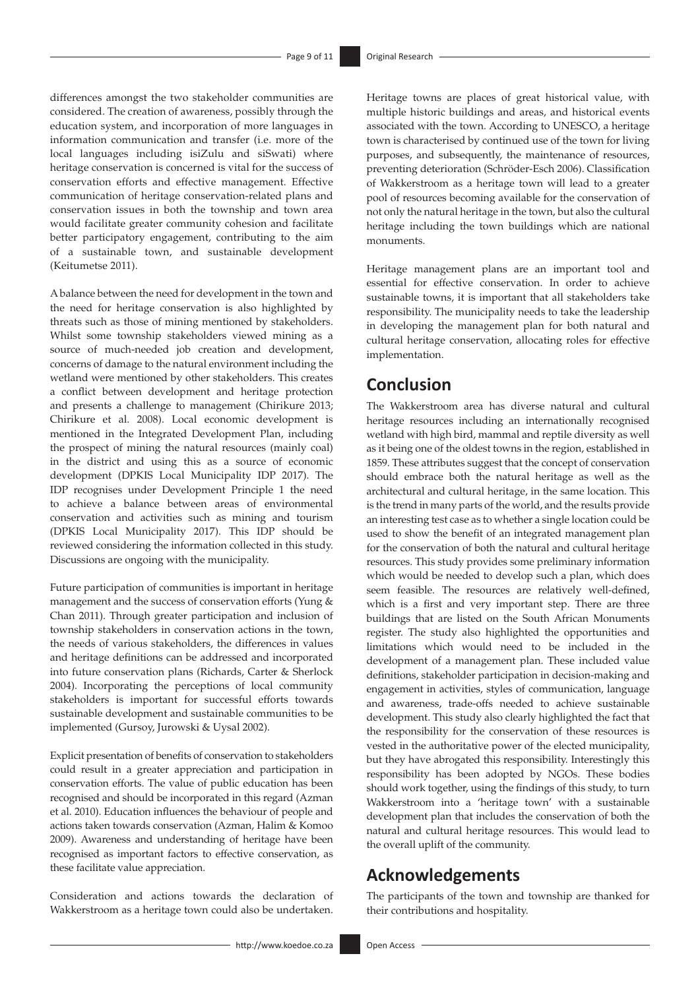differences amongst the two stakeholder communities are considered. The creation of awareness, possibly through the education system, and incorporation of more languages in information communication and transfer (i.e. more of the local languages including isiZulu and siSwati) where heritage conservation is concerned is vital for the success of conservation efforts and effective management. Effective communication of heritage conservation-related plans and conservation issues in both the township and town area would facilitate greater community cohesion and facilitate better participatory engagement, contributing to the aim of a sustainable town, and sustainable development (Keitumetse 2011).

A balance between the need for development in the town and the need for heritage conservation is also highlighted by threats such as those of mining mentioned by stakeholders. Whilst some township stakeholders viewed mining as a source of much-needed job creation and development, concerns of damage to the natural environment including the wetland were mentioned by other stakeholders. This creates a conflict between development and heritage protection and presents a challenge to management (Chirikure 2013; Chirikure et al. 2008). Local economic development is mentioned in the Integrated Development Plan, including the prospect of mining the natural resources (mainly coal) in the district and using this as a source of economic development (DPKIS Local Municipality IDP 2017). The IDP recognises under Development Principle 1 the need to achieve a balance between areas of environmental conservation and activities such as mining and tourism (DPKIS Local Municipality 2017). This IDP should be reviewed considering the information collected in this study. Discussions are ongoing with the municipality.

Future participation of communities is important in heritage management and the success of conservation efforts (Yung & Chan 2011). Through greater participation and inclusion of township stakeholders in conservation actions in the town, the needs of various stakeholders, the differences in values and heritage definitions can be addressed and incorporated into future conservation plans (Richards, Carter & Sherlock 2004). Incorporating the perceptions of local community stakeholders is important for successful efforts towards sustainable development and sustainable communities to be implemented (Gursoy, Jurowski & Uysal 2002).

Explicit presentation of benefits of conservation to stakeholders could result in a greater appreciation and participation in conservation efforts. The value of public education has been recognised and should be incorporated in this regard (Azman et al. 2010). Education influences the behaviour of people and actions taken towards conservation (Azman, Halim & Komoo 2009). Awareness and understanding of heritage have been recognised as important factors to effective conservation, as these facilitate value appreciation.

Consideration and actions towards the declaration of Wakkerstroom as a heritage town could also be undertaken. Heritage towns are places of great historical value, with multiple historic buildings and areas, and historical events associated with the town. According to UNESCO, a heritage town is characterised by continued use of the town for living purposes, and subsequently, the maintenance of resources, preventing deterioration (Schröder-Esch 2006). Classification of Wakkerstroom as a heritage town will lead to a greater pool of resources becoming available for the conservation of not only the natural heritage in the town, but also the cultural heritage including the town buildings which are national monuments.

Heritage management plans are an important tool and essential for effective conservation. In order to achieve sustainable towns, it is important that all stakeholders take responsibility. The municipality needs to take the leadership in developing the management plan for both natural and cultural heritage conservation, allocating roles for effective implementation.

# **Conclusion**

The Wakkerstroom area has diverse natural and cultural heritage resources including an internationally recognised wetland with high bird, mammal and reptile diversity as well as it being one of the oldest towns in the region, established in 1859. These attributes suggest that the concept of conservation should embrace both the natural heritage as well as the architectural and cultural heritage, in the same location. This is the trend in many parts of the world, and the results provide an interesting test case as to whether a single location could be used to show the benefit of an integrated management plan for the conservation of both the natural and cultural heritage resources. This study provides some preliminary information which would be needed to develop such a plan, which does seem feasible. The resources are relatively well-defined, which is a first and very important step. There are three buildings that are listed on the South African Monuments register. The study also highlighted the opportunities and limitations which would need to be included in the development of a management plan. These included value definitions, stakeholder participation in decision-making and engagement in activities, styles of communication, language and awareness, trade-offs needed to achieve sustainable development. This study also clearly highlighted the fact that the responsibility for the conservation of these resources is vested in the authoritative power of the elected municipality, but they have abrogated this responsibility. Interestingly this responsibility has been adopted by NGOs. These bodies should work together, using the findings of this study, to turn Wakkerstroom into a 'heritage town' with a sustainable development plan that includes the conservation of both the natural and cultural heritage resources. This would lead to the overall uplift of the community.

# **Acknowledgements**

The participants of the town and township are thanked for their contributions and hospitality.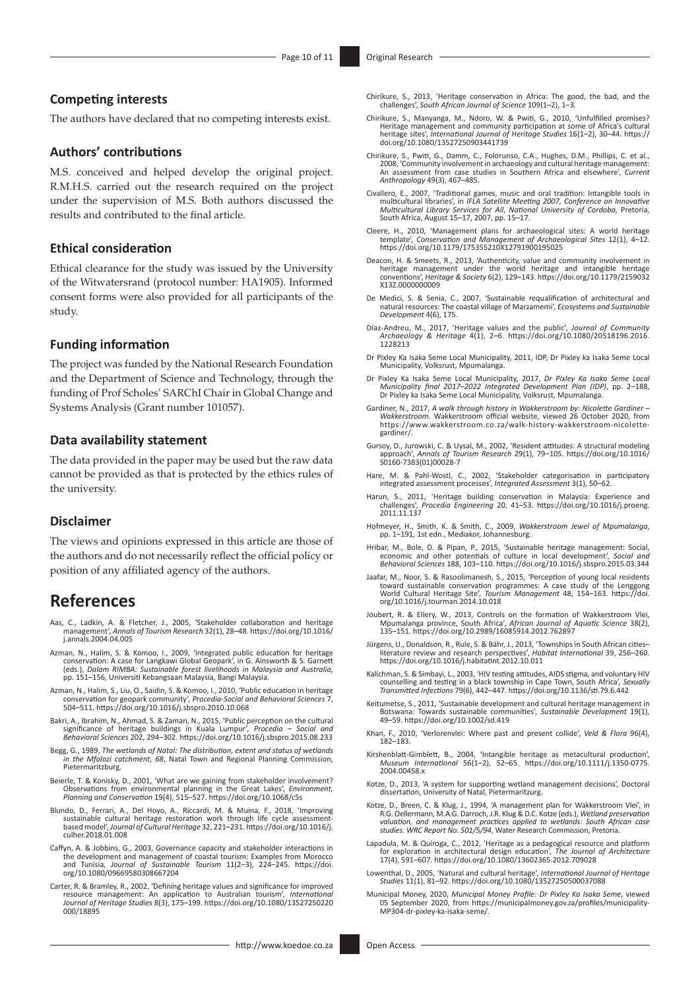#### **Competing interests**

The authors have declared that no competing interests exist.

#### **Authors' contributions**

M.S. conceived and helped develop the original project. R.M.H.S. carried out the research required on the project under the supervision of M.S. Both authors discussed the results and contributed to the final article.

#### **Ethical consideration**

Ethical clearance for the study was issued by the University of the Witwatersrand (protocol number: HA1905). Informed consent forms were also provided for all participants of the study.

#### **Funding information**

The project was funded by the National Research Foundation and the Department of Science and Technology, through the funding of Prof Scholes' SARChI Chair in Global Change and Systems Analysis (Grant number 101057).

#### **Data availability statement**

The data provided in the paper may be used but the raw data cannot be provided as that is protected by the ethics rules of the university.

#### **Disclaimer**

The views and opinions expressed in this article are those of the authors and do not necessarily reflect the official policy or position of any affiliated agency of the authors.

## **References**

- Aas, C., Ladkin, A. & Fletcher, J., 2005, 'Stakeholder collaboration and heritage management', *Annals of Tourism Research* 32(1), 28–48. [https://doi.org/10.1016/](https://doi.org/10.1016/j.annals.2004.04.005) [j.annals.2004.04.005](https://doi.org/10.1016/j.annals.2004.04.005)
- Azman, N., Halim, S. & Komoo, I., 2009, 'Integrated public education for heritage conservation: A case for Langkawi Global Geopark', in G. Ainsworth & S. Garnett (eds.), *Dalam RIMBA: Sustainable forest livelihoods in Malaysia and Australia*, pp. 151–156, Universiti Kebangsaan Malaysia, Bangi Malaysia.
- Azman, N., Halim, S., Liu, O., Saidin, S. & Komoo, I., 2010, 'Public education in heritage conservation for geopark community', *Procedia-Social and Behavioral Sciences* 7, 504–511. <https://doi.org/10.1016/j.sbspro.2010.10.068>
- Bakri, A., Ibrahim, N., Ahmad, S. & Zaman, N., 2015, 'Public perception on the cultural<br>significance of heritage buildings in Kuala Lumpur', *Procedia*<br>Behavioral Sciences 202, 294–302. https://doi.org/10.1016/j.sbspro.201
- Begg, G., 1989, *The wetlands of Natal: The distribution, extent and status of wetlands in the Mfolozi catchment*, *68*, Natal Town and Regional Planning Commission, Pietermaritzburg.
- Beierle, T. & Konisky, D., 2001, 'What are we gaining from stakeholder involvement? Observations from environmental planning in the Great Lakes', *Environment, Planning and Conservation* 19(4), 515–527. <https://doi.org/10.1068/c5s>
- Blundo, D., Ferrari, A., Del Hoyo, A., Riccardi, M. & Muina, F., 2018, 'Improving sustainable cultural heritage restoration work through life cycle assessment-based model', *Journal of Cultural Heritage* 32, 221–231. [https://doi.org/10.1016/j.](https://doi.org/10.1016/j.culher.2018.01.008) [culher.2018.01.008](https://doi.org/10.1016/j.culher.2018.01.008)
- Caffyn, A. & Jobbins, G., 2003, Governance capacity and stakeholder interactions in the development and management of coastal tourism: Examples from Morocco and Tunisia, *Journal of Sustainable Tourism* 11(2–3), 224–245. [https://doi.](https://doi.org/10.1080/09669580308667204) [org/10.1080/09669580308667204](https://doi.org/10.1080/09669580308667204)
- Carter, R. & Bramley, R., 2002, 'Defining heritage values and significance for improved resource management: An application to Australian tourism', *International Journal of Heritage Studies* 8(3), 175–199. [https://doi.org/10.1080/13527250220](https://doi.org/10.1080/13527250220000/18895) [000/18895](https://doi.org/10.1080/13527250220000/18895)
- Chirikure, S., 2013, 'Heritage conservation in Africa: The good, the bad, and the challenges', *South African Journal of Science* 109(1–2), 1–3
- Chirikure, S., Manyanga, M., Ndoro, W. & Pwiti, G., 2010, 'Unfulfilled promises? Heritage management and community participation at some of Africa's cultural heritage sites', *International Journal of Heritage Studies* 16(1–2), 30–44. [https://](https://doi.org/10.1080/13527250903441739) [doi.org/10.1080/13527250903441739](https://doi.org/10.1080/13527250903441739)
- Chirikure, S., Pwiti, G., Damm, C., Folorunso, C.A., Hughes, D.M., Phillips, C. et al., 2008, 'Community involvement in archaeology and cultural heritage management: An assessment from case studies in Southern Africa and elsewhere', *Current Anthropology* 49(3), 467–485.
- Civallero, E., 2007, 'Traditional games, music and oral tradition: Intangible tools in multicultural libraries', in *IFLA Satellite Meeting 2007, Conference on Innovative Multicultural Library Services for All*, *National University of Cordoba,* Pretoria, South Africa, August 15–17, 2007, pp. 15–17.
- Cleere, H., 2010, 'Management plans for archaeological sites: A world heritage template', *Conservation and Management of Archaeological Sites* 12(1), 4–12. <https://doi.org/10.1179/175355210X12791900195025>
- Deacon, H. & Smeets, R., 2013, 'Authenticity, value and community involvement in heritage management under the world heritage and intangible heritage conventions', *Heritage & Society* 6(2), 129–143. [https://doi.org/10.1179/2159032](https://doi.org/10.1179/2159032X13Z.0000000009) [X13Z.0000000009](https://doi.org/10.1179/2159032X13Z.0000000009)
- De Medici, S. & Senia, C., 2007, 'Sustainable requalification of architectural and natural resources: The coastal village of Marzamemi', *Ecosystems and Sustainable Development* 4(6), 175.
- Díaz-Andreu, M., 2017, 'Heritage values and the public', *Journal of Community Archaeology & Heritage* 4(1), 2–6. [https://doi.org/10.1080/20518196.2016.](https://doi.org/10.1080/20518196.2016.1228213)<br>[1228213](https://doi.org/10.1080/20518196.2016.1228213)
- Dr Pixley Ka Isaka Seme Local Municipality, 2011, IDP, Dr Pixley ka Isaka Seme Local Municipality, Volksrust, Mpumalanga.
- Dr Pixley Ka Isaka Seme Local Municipality, 2017, *Dr Pixley Ka Isaka Seme Local Municipality final 2017–2022 Integrated Development Plan (IDP)*, pp. 2–188, Dr Pixley ka Isaka Seme Local Municipality, Volksrust, Mpumalanga.
- Gardiner, N., 2017, *A walk through history in Wakkerstroom by: Nicolette Gardiner Wakkerstroom*. Wakkerstroom official website, viewed 26 October 2020, from [https://www.wakkerstroom.co.za/walk-history-wakkerstroom-nicolette](https://www.wakkerstroom.co.za/walk-history-wakkerstroom-nicolette-gardiner/)[gardiner/.](https://www.wakkerstroom.co.za/walk-history-wakkerstroom-nicolette-gardiner/)
- Gursoy, D., Jurowski, C. & Uysal, M., 2002, 'Resident attitudes: A structural modeling approach', *Annals of Tourism Research* 29(1), 79–105. [https://doi.org/10.1016/](https://doi.org/10.1016/S0160-7383(01)00028-7) [S0160-7383\(01\)00028-7](https://doi.org/10.1016/S0160-7383(01)00028-7)
- Hare, M. & Pahl-Wostl, C., 2002, 'Stakeholder categorisation in participatory integrated assessment processes', *Integrated Assessment* 3(1), 50–62.
- Harun, S., 2011, 'Heritage building conservation in Malaysia: Experience and challenges', *Procedia Engineering* 20, 41–53. [https://doi.org/10.1016/j.proeng.](https://doi.org/10.1016/j.proeng.2011.11.137) [2011.11.137](https://doi.org/10.1016/j.proeng.2011.11.137)
- Hofmeyer, H., Smith, K. & Smith, C., 2009, *Wakkerstroom Jewel of Mpumalanga*, pp. 1–191*,* 1st edn., Mediakor, Johannesburg.
- Hribar, M., Bole, D. & Pipan, P., 2015, 'Sustainable heritage management: Social, economic and other potentials of culture in local development', *Social and Behavioral Sciences* 188, 103–110.<https://doi.org/10.1016/j.sbspro.2015.03.344>
- Jaafar, M., Noor, S. & Rasoolimanesh, S., 2015, 'Perception of young local residents<br>toward sustainable conservation programmes: A case study of the Lenggong<br>World Cultural Heritage Site', Tourism Management 48, 154–163. h [org/10.1016/j.tourman.2014.10.018](https://doi.org/10.1016/j.tourman.2014.10.018)
- Joubert, R. & Ellery, W., 2013, Controls on the formation of Wakkerstroom Vlei, Mpumalanga province, South Africa', *African Journal of Aquatic Science* 38(2), 135–151.<https://doi.org/10.2989/16085914.2012.762897>
- Jürgens, U., Donaldson, R., Rule, S. & Bähr, J., 2013, 'Townships in South African cities– literature review and research perspectives', *Habitat International* 39, 256–260. <https://doi.org/10.1016/j.habitatint.2012.10.011>
- Kalichman, S. & Simbayi, L., 2003, 'HIV testing attitudes, AIDS stigma, and voluntary HIV counselling and testing in a black township in Cape Town, South Africa', *Sexually Transmitted Infections* 79(6), 442–447. <https://doi.org/10.1136/sti.79.6.442>
- Keitumetse, S., 2011, 'Sustainable development and cultural heritage management in Botswana: Towards sustainable communities', *Sustainable Development* 19(1), 49–59.<https://doi.org/10.1002/sd.419>
- Khan, F., 2010, 'Verlorenvlei: Where past and present collide', *Veld & Flora* 96(4), 182–183.
- Kirshenblatt-Gimblett, B., 2004, 'Intangible heritage as metacultural production *Museum International* 56(1–2), 52–65. [https://doi.org/10.1111/j.1350-0775.](https://doi.org/10.1111/j.1350-0775.2004.00458.x) [2004.00458.x](https://doi.org/10.1111/j.1350-0775.2004.00458.x)
- Kotze, D., 2013, 'A system for supporting wetland management decisions', Doctoral dissertation, University of Natal, Pietermaritzurg.
- Kotze, D., Breen, C. & Klug, J., 1994, 'A management plan for Wakkerstroom Vlei', in<br>R.G. Oellermann, M.A.G. Darroch, J.R. Klug & D.C. Kotze (eds.), Wetland preservation<br>valuation, and management practices applied to wetla *studies. WRC Report No. 501/5/94*, Water Research Commission, Pretoria.
- Lapadula, M. & Quiroga, C., 2012, 'Heritage as a pedagogical resource and platform for exploration in architectural design education', *The Journal of Architecture* 17(4), 591–607.<https://doi.org/10.1080/13602365.2012.709028>
- Lowenthal, D., 2005, 'Natural and cultural heritage', *International Journal of Heritage Studies* 11(1), 81–92.<https://doi.org/10.1080/13527250500037088>
- Municipal Money, 2020, *Municipal Money Profile: Dr Pixley Ka Isaka Seme*, viewed 05 September 2020, from [https://municipalmoney.gov.za/profiles/municipality-](https://municipalmoney.gov.za/profiles/municipality-MP304-dr-pixley-ka-isaka-seme/)[MP304-dr-pixley-ka-isaka-seme/.](https://municipalmoney.gov.za/profiles/municipality-MP304-dr-pixley-ka-isaka-seme/)